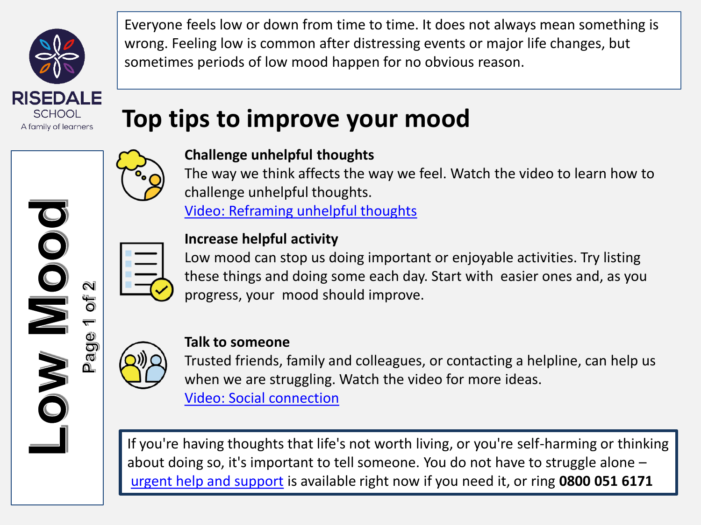

JOO

NO.

 $\widehat{\mathbf{N}}$ 

 $\bigcirc$  $\overline{O}$  $\overline{\mathbb{Q}}$ 

⋒

Everyone feels low or down from time to time. It does not always mean something is wrong. Feeling low is common after distressing events or major life changes, but sometimes periods of low mood happen for no obvious reason.

# **Top tips to improve your mood**



## **Challenge unhelpful thoughts**

The way we think affects the way we feel. Watch the video to learn how to challenge unhelpful thoughts.

[Video: Reframing unhelpful thoughts](https://bcove.video/2mmEsTx)



### **Increase helpful activity**

Low mood can stop us doing important or enjoyable activities. Try listing these things and doing some each day. Start with easier ones and, as you progress, your mood should improve.



### **Talk to someone**

Trusted friends, family and colleagues, or contacting a helpline, can help us when we are struggling. Watch the video for more ideas. [Video: Social connection](https://bcove.video/2lDmMma)

If you're having thoughts that life's not worth living, or you're self-harming or thinking about doing so, it's important to tell someone. You do not have to struggle alone – [urgent help and support](https://www.nhs.uk/every-mind-matters/urgent-support/) is available right now if you need it, or ring **0800 051 6171**